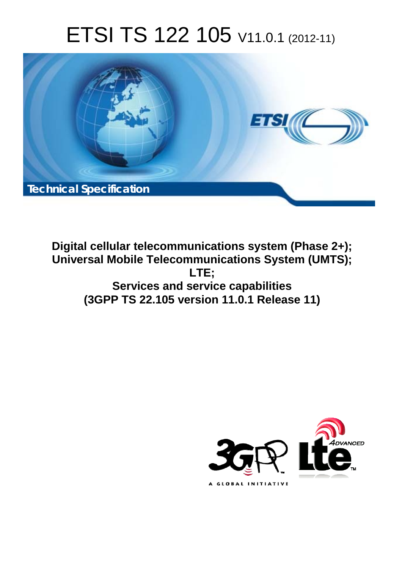# ETSI TS 122 105 V11.0.1 (2012-11)



**Digital cellular telecommunications system (Phase 2+); Universal Mobile Telecommunications System (UMTS); LTE; Services and service capabilities (3GPP TS 22.105 version 11.0.1 Release 11)** 

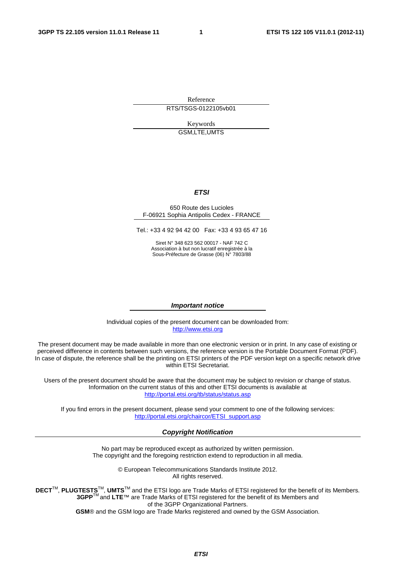Reference RTS/TSGS-0122105vb01

> Keywords GSM,LTE,UMTS

## *ETSI*

#### 650 Route des Lucioles F-06921 Sophia Antipolis Cedex - FRANCE

Tel.: +33 4 92 94 42 00 Fax: +33 4 93 65 47 16

Siret N° 348 623 562 00017 - NAF 742 C Association à but non lucratif enregistrée à la Sous-Préfecture de Grasse (06) N° 7803/88

## *Important notice*

Individual copies of the present document can be downloaded from: [http://www.etsi.org](http://www.etsi.org/)

The present document may be made available in more than one electronic version or in print. In any case of existing or perceived difference in contents between such versions, the reference version is the Portable Document Format (PDF). In case of dispute, the reference shall be the printing on ETSI printers of the PDF version kept on a specific network drive within ETSI Secretariat.

Users of the present document should be aware that the document may be subject to revision or change of status. Information on the current status of this and other ETSI documents is available at <http://portal.etsi.org/tb/status/status.asp>

If you find errors in the present document, please send your comment to one of the following services: [http://portal.etsi.org/chaircor/ETSI\\_support.asp](http://portal.etsi.org/chaircor/ETSI_support.asp)

## *Copyright Notification*

No part may be reproduced except as authorized by written permission. The copyright and the foregoing restriction extend to reproduction in all media.

> © European Telecommunications Standards Institute 2012. All rights reserved.

**DECT**TM, **PLUGTESTS**TM, **UMTS**TM and the ETSI logo are Trade Marks of ETSI registered for the benefit of its Members. **3GPP**TM and **LTE**™ are Trade Marks of ETSI registered for the benefit of its Members and of the 3GPP Organizational Partners.

**GSM**® and the GSM logo are Trade Marks registered and owned by the GSM Association.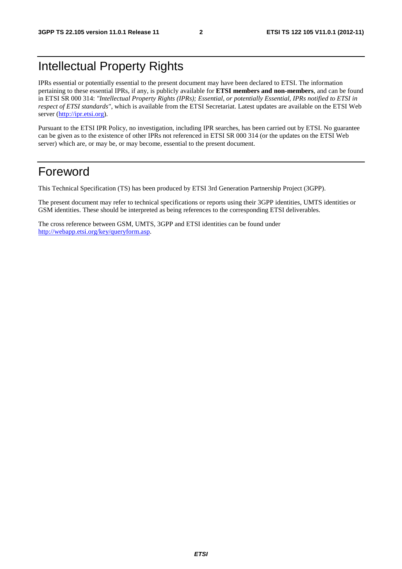# Intellectual Property Rights

IPRs essential or potentially essential to the present document may have been declared to ETSI. The information pertaining to these essential IPRs, if any, is publicly available for **ETSI members and non-members**, and can be found in ETSI SR 000 314: *"Intellectual Property Rights (IPRs); Essential, or potentially Essential, IPRs notified to ETSI in respect of ETSI standards"*, which is available from the ETSI Secretariat. Latest updates are available on the ETSI Web server [\(http://ipr.etsi.org](http://webapp.etsi.org/IPR/home.asp)).

Pursuant to the ETSI IPR Policy, no investigation, including IPR searches, has been carried out by ETSI. No guarantee can be given as to the existence of other IPRs not referenced in ETSI SR 000 314 (or the updates on the ETSI Web server) which are, or may be, or may become, essential to the present document.

# Foreword

This Technical Specification (TS) has been produced by ETSI 3rd Generation Partnership Project (3GPP).

The present document may refer to technical specifications or reports using their 3GPP identities, UMTS identities or GSM identities. These should be interpreted as being references to the corresponding ETSI deliverables.

The cross reference between GSM, UMTS, 3GPP and ETSI identities can be found under [http://webapp.etsi.org/key/queryform.asp.](http://webapp.etsi.org/key/queryform.asp)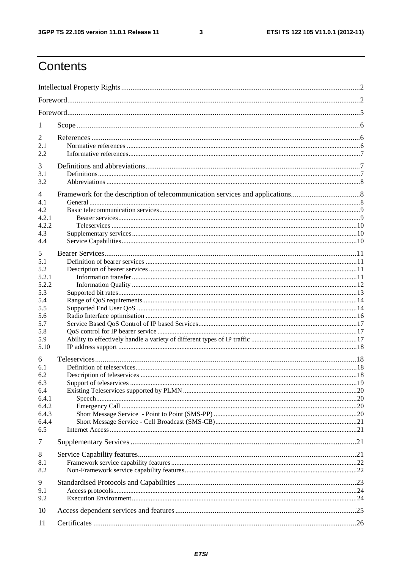$\mathbf{3}$ 

# Contents

| 1                                                                                          |  |
|--------------------------------------------------------------------------------------------|--|
| 2<br>2.1<br>2.2                                                                            |  |
| 3<br>3.1<br>3.2                                                                            |  |
| 4<br>4.1<br>4.2<br>4.2.1<br>4.2.2<br>4.3<br>4.4                                            |  |
| 5<br>5.1<br>5.2<br>5.2.1<br>5.2.2<br>5.3<br>5.4<br>5.5<br>5.6<br>5.7<br>5.8<br>5.9<br>5.10 |  |
| 6<br>6.1<br>6.2<br>6.3<br>6.4<br>6.4.1<br>6.4.2<br>6.4.3<br>6.4.4<br>6.5                   |  |
| 7                                                                                          |  |
| 8<br>8.1<br>8.2                                                                            |  |
| 9<br>9.1<br>9.2                                                                            |  |
| 10                                                                                         |  |
| 11                                                                                         |  |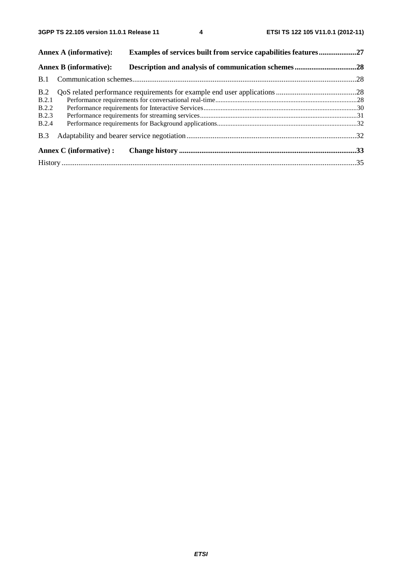|              | <b>Annex A (informative):</b>  | <b>Examples of services built from service capabilities features27</b> |  |
|--------------|--------------------------------|------------------------------------------------------------------------|--|
|              | <b>Annex B</b> (informative):  |                                                                        |  |
| B.1          |                                |                                                                        |  |
| B.2          |                                |                                                                        |  |
| B.2.1        |                                |                                                                        |  |
| B.2.2        |                                |                                                                        |  |
| B.2.3        |                                |                                                                        |  |
| <b>B.2.4</b> |                                |                                                                        |  |
| B.3          |                                |                                                                        |  |
|              | <b>Annex C</b> (informative) : |                                                                        |  |
|              |                                |                                                                        |  |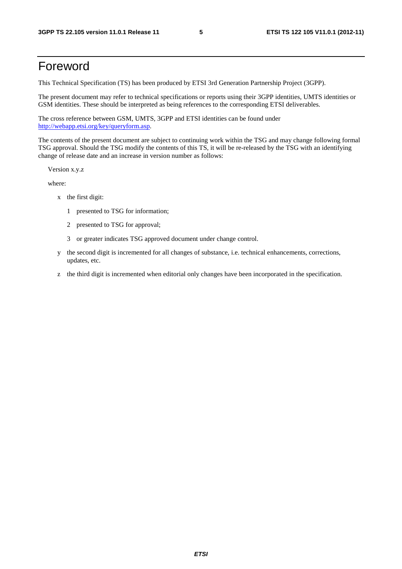# Foreword

This Technical Specification (TS) has been produced by ETSI 3rd Generation Partnership Project (3GPP).

The present document may refer to technical specifications or reports using their 3GPP identities, UMTS identities or GSM identities. These should be interpreted as being references to the corresponding ETSI deliverables.

The cross reference between GSM, UMTS, 3GPP and ETSI identities can be found under [http://webapp.etsi.org/key/queryform.asp.](http://webapp.etsi.org/key/queryform.asp)

The contents of the present document are subject to continuing work within the TSG and may change following formal TSG approval. Should the TSG modify the contents of this TS, it will be re-released by the TSG with an identifying change of release date and an increase in version number as follows:

Version x.y.z

where:

- x the first digit:
	- 1 presented to TSG for information;
	- 2 presented to TSG for approval;
	- 3 or greater indicates TSG approved document under change control.
- y the second digit is incremented for all changes of substance, i.e. technical enhancements, corrections, updates, etc.
- z the third digit is incremented when editorial only changes have been incorporated in the specification.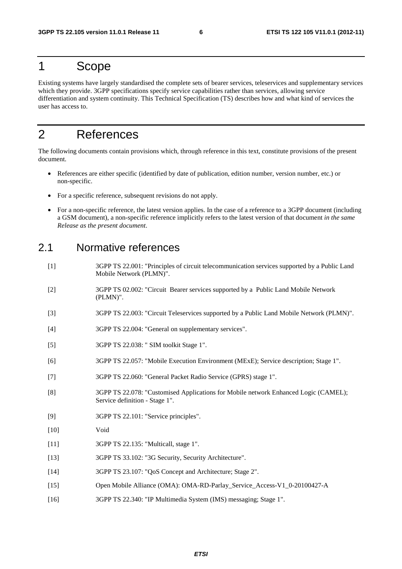# 1 Scope

Existing systems have largely standardised the complete sets of bearer services, teleservices and supplementary services which they provide. 3GPP specifications specify service capabilities rather than services, allowing service differentiation and system continuity. This Technical Specification (TS) describes how and what kind of services the user has access to.

# 2 References

The following documents contain provisions which, through reference in this text, constitute provisions of the present document.

- References are either specific (identified by date of publication, edition number, version number, etc.) or non-specific.
- For a specific reference, subsequent revisions do not apply.
- For a non-specific reference, the latest version applies. In the case of a reference to a 3GPP document (including a GSM document), a non-specific reference implicitly refers to the latest version of that document *in the same Release as the present document*.

## 2.1 Normative references

- [1] 3GPP TS 22.001: "Principles of circuit telecommunication services supported by a Public Land Mobile Network (PLMN)".
- [2] 3GPP TS 02.002: "Circuit Bearer services supported by a Public Land Mobile Network (PLMN)".
- [3] 3GPP TS 22.003: "Circuit Teleservices supported by a Public Land Mobile Network (PLMN)".
- [4] 3GPP TS 22.004: "General on supplementary services".
- [5] 3GPP TS 22.038: " SIM toolkit Stage 1".
- [6] 3GPP TS 22.057: "Mobile Execution Environment (MExE); Service description; Stage 1".
- [7] 3GPP TS 22.060: "General Packet Radio Service (GPRS) stage 1".
- [8] 3GPP TS 22.078: "Customised Applications for Mobile network Enhanced Logic (CAMEL); Service definition - Stage 1".
- [9] 3GPP TS 22.101: "Service principles".
- [10] Void
- [11] 3GPP TS 22.135: "Multicall, stage 1".
- [13] 3GPP TS 33.102: "3G Security, Security Architecture".
- [14] 3GPP TS 23.107: "QoS Concept and Architecture; Stage 2".
- [15] Open Mobile Alliance (OMA): OMA-RD-Parlay\_Service\_Access-V1\_0-20100427-A
- [16] 3GPP TS 22.340: "IP Multimedia System (IMS) messaging; Stage 1".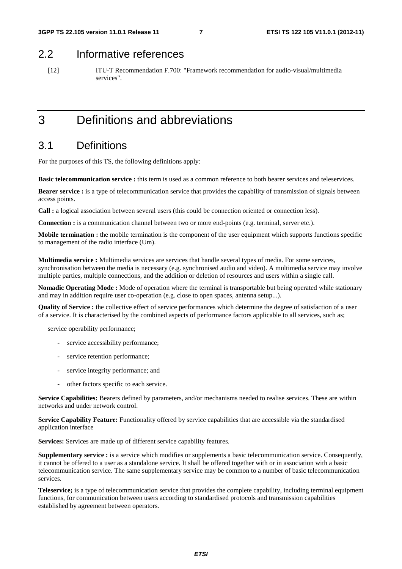## 2.2 Informative references

[12] ITU-T Recommendation F.700: "Framework recommendation for audio-visual/multimedia services".

# 3 Definitions and abbreviations

# 3.1 Definitions

For the purposes of this TS, the following definitions apply:

**Basic telecommunication service :** this term is used as a common reference to both bearer services and teleservices.

**Bearer service :** is a type of telecommunication service that provides the capability of transmission of signals between access points.

**Call :** a logical association between several users (this could be connection oriented or connection less).

**Connection :** is a communication channel between two or more end-points (e.g. terminal, server etc.).

**Mobile termination :** the mobile termination is the component of the user equipment which supports functions specific to management of the radio interface (Um).

**Multimedia service :** Multimedia services are services that handle several types of media. For some services, synchronisation between the media is necessary (e.g. synchronised audio and video). A multimedia service may involve multiple parties, multiple connections, and the addition or deletion of resources and users within a single call.

**Nomadic Operating Mode :** Mode of operation where the terminal is transportable but being operated while stationary and may in addition require user co-operation (e.g. close to open spaces, antenna setup...).

**Quality of Service :** the collective effect of service performances which determine the degree of satisfaction of a user of a service. It is characterised by the combined aspects of performance factors applicable to all services, such as;

service operability performance;

- service accessibility performance;
- service retention performance;
- service integrity performance; and
- other factors specific to each service.

**Service Capabilities:** Bearers defined by parameters, and/or mechanisms needed to realise services. These are within networks and under network control.

**Service Capability Feature:** Functionality offered by service capabilities that are accessible via the standardised application interface

**Services:** Services are made up of different service capability features.

**Supplementary service :** is a service which modifies or supplements a basic telecommunication service. Consequently, it cannot be offered to a user as a standalone service. It shall be offered together with or in association with a basic telecommunication service. The same supplementary service may be common to a number of basic telecommunication services.

**Teleservice;** is a type of telecommunication service that provides the complete capability, including terminal equipment functions, for communication between users according to standardised protocols and transmission capabilities established by agreement between operators.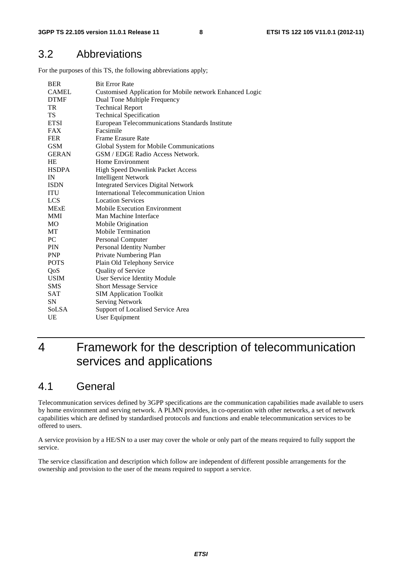## 3.2 Abbreviations

For the purposes of this TS, the following abbreviations apply;

| <b>BER</b>   | <b>Bit Error Rate</b>                                           |
|--------------|-----------------------------------------------------------------|
| <b>CAMEL</b> | <b>Customised Application for Mobile network Enhanced Logic</b> |
| <b>DTMF</b>  | Dual Tone Multiple Frequency                                    |
| TR           | <b>Technical Report</b>                                         |
| TS           | <b>Technical Specification</b>                                  |
| <b>ETSI</b>  | European Telecommunications Standards Institute                 |
| FAX          | Facsimile                                                       |
| <b>FER</b>   | Frame Erasure Rate                                              |
| <b>GSM</b>   | Global System for Mobile Communications                         |
| <b>GERAN</b> | GSM / EDGE Radio Access Network.                                |
| HE           | Home Environment                                                |
| <b>HSDPA</b> | High Speed Downlink Packet Access                               |
| IN           | <b>Intelligent Network</b>                                      |
| <b>ISDN</b>  | <b>Integrated Services Digital Network</b>                      |
| <b>ITU</b>   | <b>International Telecommunication Union</b>                    |
| LCS          | <b>Location Services</b>                                        |
| <b>MExE</b>  | <b>Mobile Execution Environment</b>                             |
| MMI          | Man Machine Interface                                           |
| MO           | Mobile Origination                                              |
| МT           | <b>Mobile Termination</b>                                       |
| PC           | Personal Computer                                               |
| <b>PIN</b>   | Personal Identity Number                                        |
| <b>PNP</b>   | Private Numbering Plan                                          |
| <b>POTS</b>  | Plain Old Telephony Service                                     |
| QoS          | Quality of Service                                              |
| <b>USIM</b>  | <b>User Service Identity Module</b>                             |
| <b>SMS</b>   | <b>Short Message Service</b>                                    |
| SAT          | <b>SIM Application Toolkit</b>                                  |
| SN           | <b>Serving Network</b>                                          |
| SoLSA        | Support of Localised Service Area                               |
| UE           | User Equipment                                                  |

# 4 Framework for the description of telecommunication services and applications

## 4.1 General

Telecommunication services defined by 3GPP specifications are the communication capabilities made available to users by home environment and serving network. A PLMN provides, in co-operation with other networks, a set of network capabilities which are defined by standardised protocols and functions and enable telecommunication services to be offered to users.

A service provision by a HE/SN to a user may cover the whole or only part of the means required to fully support the service.

The service classification and description which follow are independent of different possible arrangements for the ownership and provision to the user of the means required to support a service.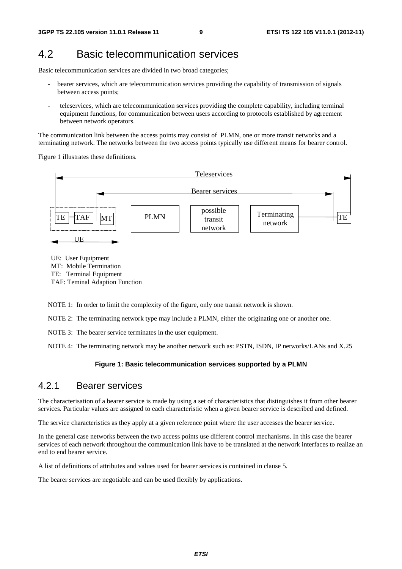## 4.2 Basic telecommunication services

Basic telecommunication services are divided in two broad categories;

- bearer services, which are telecommunication services providing the capability of transmission of signals between access points;
- teleservices, which are telecommunication services providing the complete capability, including terminal equipment functions, for communication between users according to protocols established by agreement between network operators.

The communication link between the access points may consist of PLMN, one or more transit networks and a terminating network. The networks between the two access points typically use different means for bearer control.

Figure 1 illustrates these definitions.



UE: User Equipment MT: Mobile Termination TE: Terminal Equipment TAF: Teminal Adaption Function

NOTE 1: In order to limit the complexity of the figure, only one transit network is shown.

NOTE 2: The terminating network type may include a PLMN, either the originating one or another one.

NOTE 3: The bearer service terminates in the user equipment.

NOTE 4: The terminating network may be another network such as: PSTN, ISDN, IP networks/LANs and X.25

## **Figure 1: Basic telecommunication services supported by a PLMN**

## 4.2.1 Bearer services

The characterisation of a bearer service is made by using a set of characteristics that distinguishes it from other bearer services. Particular values are assigned to each characteristic when a given bearer service is described and defined.

The service characteristics as they apply at a given reference point where the user accesses the bearer service.

In the general case networks between the two access points use different control mechanisms. In this case the bearer services of each network throughout the communication link have to be translated at the network interfaces to realize an end to end bearer service.

A list of definitions of attributes and values used for bearer services is contained in clause 5.

The bearer services are negotiable and can be used flexibly by applications.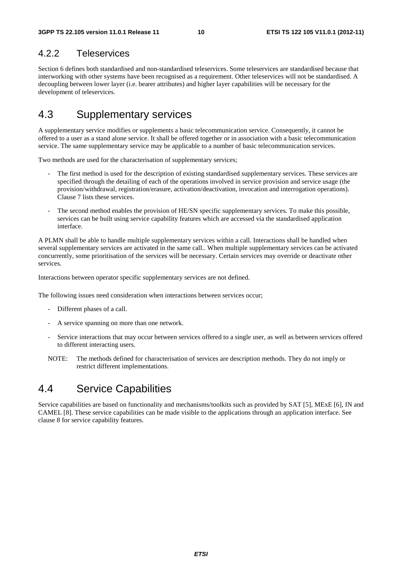# 4.2.2 Teleservices

Section 6 defines both standardised and non-standardised teleservices. Some teleservices are standardised because that interworking with other systems have been recognised as a requirement. Other teleservices will not be standardised. A decoupling between lower layer (i.e. bearer attributes) and higher layer capabilities will be necessary for the development of teleservices.

# 4.3 Supplementary services

A supplementary service modifies or supplements a basic telecommunication service. Consequently, it cannot be offered to a user as a stand alone service. It shall be offered together or in association with a basic telecommunication service. The same supplementary service may be applicable to a number of basic telecommunication services.

Two methods are used for the characterisation of supplementary services;

- The first method is used for the description of existing standardised supplementary services. These services are specified through the detailing of each of the operations involved in service provision and service usage (the provision/withdrawal, registration/erasure, activation/deactivation, invocation and interrogation operations). Clause 7 lists these services.
- The second method enables the provision of HE/SN specific supplementary services. To make this possible, services can be built using service capability features which are accessed via the standardised application interface.

A PLMN shall be able to handle multiple supplementary services within a call. Interactions shall be handled when several supplementary services are activated in the same call.. When multiple supplementary services can be activated concurrently, some prioritisation of the services will be necessary. Certain services may override or deactivate other services.

Interactions between operator specific supplementary services are not defined.

The following issues need consideration when interactions between services occur;

- Different phases of a call.
- A service spanning on more than one network.
- Service interactions that may occur between services offered to a single user, as well as between services offered to different interacting users.
- NOTE: The methods defined for characterisation of services are description methods. They do not imply or restrict different implementations.

# 4.4 Service Capabilities

Service capabilities are based on functionality and mechanisms/toolkits such as provided by SAT [5], MExE [6], IN and CAMEL [8]. These service capabilities can be made visible to the applications through an application interface. See clause 8 for service capability features.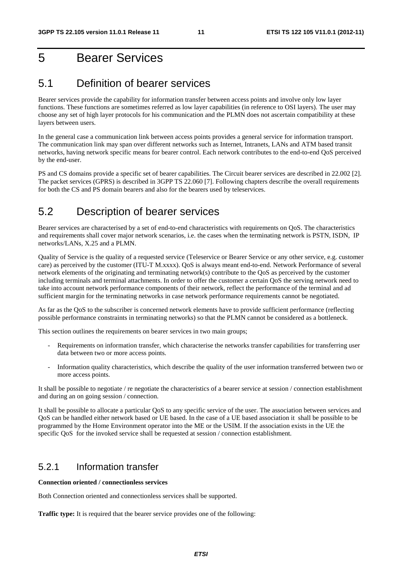# 5 Bearer Services

# 5.1 Definition of bearer services

Bearer services provide the capability for information transfer between access points and involve only low layer functions. These functions are sometimes referred as low layer capabilities (in reference to OSI layers). The user may choose any set of high layer protocols for his communication and the PLMN does not ascertain compatibility at these layers between users.

In the general case a communication link between access points provides a general service for information transport. The communication link may span over different networks such as Internet, Intranets, LANs and ATM based transit networks, having network specific means for bearer control. Each network contributes to the end-to-end QoS perceived by the end-user.

PS and CS domains provide a specific set of bearer capabilities. The Circuit bearer services are described in 22.002 [2]. The packet services (GPRS) is described in 3GPP TS 22.060 [7]. Following chapters describe the overall requirements for both the CS and PS domain bearers and also for the bearers used by teleservices.

# 5.2 Description of bearer services

Bearer services are characterised by a set of end-to-end characteristics with requirements on QoS. The characteristics and requirements shall cover major network scenarios, i.e. the cases when the terminating network is PSTN, ISDN, IP networks/LANs, X.25 and a PLMN.

Quality of Service is the quality of a requested service (Teleservice or Bearer Service or any other service, e.g. customer care) as perceived by the customer (ITU-T M.xxxx). QoS is always meant end-to-end. Network Performance of several network elements of the originating and terminating network(s) contribute to the QoS as perceived by the customer including terminals and terminal attachments. In order to offer the customer a certain QoS the serving network need to take into account network performance components of their network, reflect the performance of the terminal and ad sufficient margin for the terminating networks in case network performance requirements cannot be negotiated.

As far as the QoS to the subscriber is concerned network elements have to provide sufficient performance (reflecting possible performance constraints in terminating networks) so that the PLMN cannot be considered as a bottleneck.

This section outlines the requirements on bearer services in two main groups;

- Requirements on information transfer, which characterise the networks transfer capabilities for transferring user data between two or more access points.
- Information quality characteristics, which describe the quality of the user information transferred between two or more access points.

It shall be possible to negotiate / re negotiate the characteristics of a bearer service at session / connection establishment and during an on going session / connection.

It shall be possible to allocate a particular QoS to any specific service of the user. The association between services and QoS can be handled either network based or UE based. In the case of a UE based association it shall be possible to be programmed by the Home Environment operator into the ME or the USIM. If the association exists in the UE the specific QoS for the invoked service shall be requested at session / connection establishment.

## 5.2.1 Information transfer

**Connection oriented / connectionless services** 

Both Connection oriented and connectionless services shall be supported.

**Traffic type:** It is required that the bearer service provides one of the following: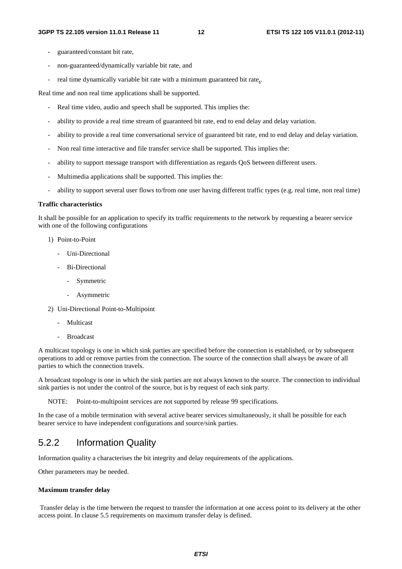- guaranteed/constant bit rate,
- non-guaranteed/dynamically variable bit rate, and
- real time dynamically variable bit rate with a minimum guaranteed bit rate...

Real time and non real time applications shall be supported.

- Real time video, audio and speech shall be supported. This implies the:
- ability to provide a real time stream of guaranteed bit rate, end to end delay and delay variation.
- ability to provide a real time conversational service of guaranteed bit rate, end to end delay and delay variation.
- Non real time interactive and file transfer service shall be supported. This implies the:
- ability to support message transport with differentiation as regards QoS between different users.
- Multimedia applications shall be supported. This implies the:
- ability to support several user flows to/from one user having different traffic types (e.g. real time, non real time)

## **Traffic characteristics**

It shall be possible for an application to specify its traffic requirements to the network by requesting a bearer service with one of the following configurations

- 1) Point-to-Point
	- Uni-Directional
	- Bi-Directional
		- Symmetric
		- Asymmetric
- 2) Uni-Directional Point-to-Multipoint
	- Multicast
	- **Broadcast**

A multicast topology is one in which sink parties are specified before the connection is established, or by subsequent operations to add or remove parties from the connection. The source of the connection shall always be aware of all parties to which the connection travels.

A broadcast topology is one in which the sink parties are not always known to the source. The connection to individual sink parties is not under the control of the source, but is by request of each sink party.

NOTE: Point-to-multipoint services are not supported by release 99 specifications.

In the case of a mobile termination with several active bearer services simultaneously, it shall be possible for each bearer service to have independent configurations and source/sink parties.

## 5.2.2 Information Quality

Information quality a characterises the bit integrity and delay requirements of the applications.

Other parameters may be needed.

## **Maximum transfer delay**

 Transfer delay is the time between the request to transfer the information at one access point to its delivery at the other access point. In clause 5.5 requirements on maximum transfer delay is defined.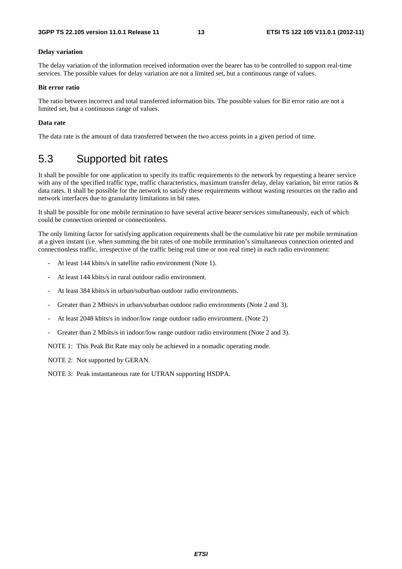### **Delay variation**

The delay variation of the information received information over the bearer has to be controlled to support real-time services. The possible values for delay variation are not a limited set, but a continuous range of values.

## **Bit error ratio**

The ratio between incorrect and total transferred information bits. The possible values for Bit error ratio are not a limited set, but a continuous range of values.

## **Data rate**

The data rate is the amount of data transferred between the two access points in a given period of time.

## 5.3 Supported bit rates

It shall be possible for one application to specify its traffic requirements to the network by requesting a bearer service with any of the specified traffic type, traffic characteristics, maximum transfer delay, delay variation, bit error ratios & data rates. It shall be possible for the network to satisfy these requirements without wasting resources on the radio and network interfaces due to granularity limitations in bit rates.

It shall be possible for one mobile termination to have several active bearer services simultaneously, each of which could be connection oriented or connectionless.

The only limiting factor for satisfying application requirements shall be the cumulative bit rate per mobile termination at a given instant (i.e. when summing the bit rates of one mobile termination's simultaneous connection oriented and connectionless traffic, irrespective of the traffic being real time or non real time) in each radio environment:

- At least 144 kbits/s in satellite radio environment (Note 1).
- At least 144 kbits/s in rural outdoor radio environment.
- At least 384 kbits/s in urban/suburban outdoor radio environments.
- Greater than 2 Mbits/s in urban/suburban outdoor radio environments (Note 2 and 3).
- At least 2048 kbits/s in indoor/low range outdoor radio environment. (Note 2)
- Greater than 2 Mbits/s in indoor/low range outdoor radio environment (Note 2 and 3).

NOTE 1: This Peak Bit Rate may only be achieved in a nomadic operating mode.

NOTE 2: Not supported by GERAN.

NOTE 3: Peak instantaneous rate for UTRAN supporting HSDPA.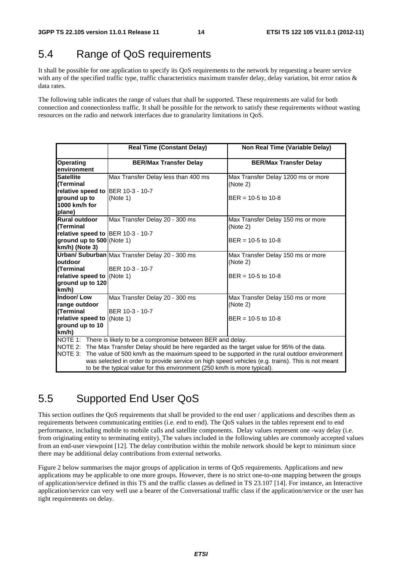# 5.4 Range of QoS requirements

It shall be possible for one application to specify its QoS requirements to the network by requesting a bearer service with any of the specified traffic type, traffic characteristics maximum transfer delay, delay variation, bit error ratios & data rates.

The following table indicates the range of values that shall be supported. These requirements are valid for both connection and connectionless traffic. It shall be possible for the network to satisfy these requirements without wasting resources on the radio and network interfaces due to granularity limitations in QoS.

|                                                                                                                                                                                                                                                                             | <b>Real Time (Constant Delay)</b>                 | Non Real Time (Variable Delay)                                        |  |  |  |  |  |  |
|-----------------------------------------------------------------------------------------------------------------------------------------------------------------------------------------------------------------------------------------------------------------------------|---------------------------------------------------|-----------------------------------------------------------------------|--|--|--|--|--|--|
| <b>Operating</b><br>environment                                                                                                                                                                                                                                             | <b>BER/Max Transfer Delay</b>                     | <b>BER/Max Transfer Delay</b>                                         |  |  |  |  |  |  |
| Satellite<br>l(Terminal                                                                                                                                                                                                                                                     | Max Transfer Delay less than 400 ms               | Max Transfer Delay 1200 ms or more<br>(Note 2)                        |  |  |  |  |  |  |
| relative speed to BER 10-3 - 10-7<br>ground up to                                                                                                                                                                                                                           | (Note 1)                                          | $BER = 10-5$ to 10-8                                                  |  |  |  |  |  |  |
| 1000 km/h for<br>plane)                                                                                                                                                                                                                                                     |                                                   |                                                                       |  |  |  |  |  |  |
| Rural outdoor<br>l(Terminal                                                                                                                                                                                                                                                 | Max Transfer Delay 20 - 300 ms                    | Max Transfer Delay 150 ms or more<br>(Note 2)                         |  |  |  |  |  |  |
| relative speed to BER 10-3 - 10-7<br>ground up to 500 (Note 1)<br>km/h) (Note 3)                                                                                                                                                                                            |                                                   | $BER = 10-5$ to 10-8                                                  |  |  |  |  |  |  |
| outdoor                                                                                                                                                                                                                                                                     | Urban/ Suburban Max Transfer Delay 20 - 300 ms    | Max Transfer Delay 150 ms or more<br>(Note 2)                         |  |  |  |  |  |  |
| l(Terminal<br>relative speed to (Note 1)<br>ground up to 120<br>km/h)                                                                                                                                                                                                       | BER 10-3 - 10-7                                   | $BER = 10-5$ to 10-8                                                  |  |  |  |  |  |  |
| Indoor/Low<br>range outdoor<br>(Terminal<br>relative speed to (Note 1)<br>ground up to 10                                                                                                                                                                                   | Max Transfer Delay 20 - 300 ms<br>BER 10-3 - 10-7 | Max Transfer Delay 150 ms or more<br>(Note 2)<br>$BER = 10-5$ to 10-8 |  |  |  |  |  |  |
| km/h)<br>NOTE 1: There is likely to be a compromise between BER and delay.<br>NOTE 2: The Max Transfer Delay should be here regarded as the target value for 95% of the data.<br>NOTE 3:                                                                                    |                                                   |                                                                       |  |  |  |  |  |  |
| The value of 500 km/h as the maximum speed to be supported in the rural outdoor environment<br>was selected in order to provide service on high speed vehicles (e.g. trains). This is not meant<br>to be the typical value for this environment (250 km/h is more typical). |                                                   |                                                                       |  |  |  |  |  |  |

# 5.5 Supported End User QoS

This section outlines the QoS requirements that shall be provided to the end user / applications and describes them as requirements between communicating entities (i.e. end to end). The QoS values in the tables represent end to end performance, including mobile to mobile calls and satellite components. Delay values represent one -way delay (i.e. from originating entity to terminating entity). The values included in the following tables are commonly accepted values from an end-user viewpoint [12]. The delay contribution within the mobile network should be kept to minimum since there may be additional delay contributions from external networks.

Figure 2 below summarises the major groups of application in terms of QoS requirements. Applications and new applications may be applicable to one more groups. However, there is no strict one-to-one mapping between the groups of application/service defined in this TS and the traffic classes as defined in TS 23.107 [14]. For instance, an Interactive application/service can very well use a bearer of the Conversational traffic class if the application/service or the user has tight requirements on delay.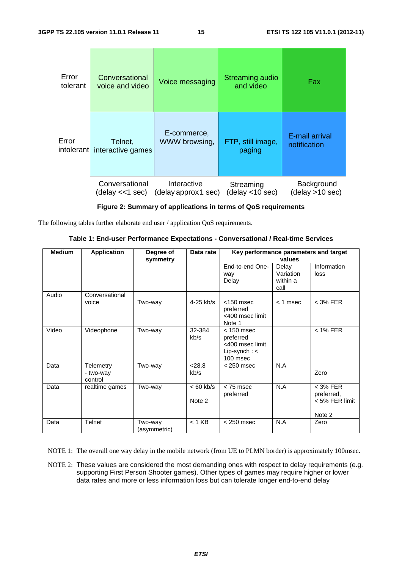| Error<br>tolerant | Conversational<br>voice and video | Voice messaging      | Streaming audio<br>and video | Fax             |
|-------------------|-----------------------------------|----------------------|------------------------------|-----------------|
| Error             | Telnet,                           | E-commerce,          | FTP, still image,            | E-mail arrival  |
| intolerant        | interactive games                 | WWW browsing,        | paging                       | notification    |
|                   | Conversational                    | Interactive          | Streaming                    | Background      |
|                   | (delay <<1 sec)                   | (delay approx 1 sec) | (delay <10 sec)              | (delay >10 sec) |

**Figure 2: Summary of applications in terms of QoS requirements** 

The following tables further elaborate end user / application QoS requirements.

| Table 1: End-user Performance Expectations - Conversational / Real-time Services |  |  |
|----------------------------------------------------------------------------------|--|--|
|----------------------------------------------------------------------------------|--|--|

| <b>Medium</b> | <b>Application</b>                | Degree of<br>symmetry   | Data rate             | Key performance parameters and target<br>values                              |                                        |                                                      |
|---------------|-----------------------------------|-------------------------|-----------------------|------------------------------------------------------------------------------|----------------------------------------|------------------------------------------------------|
|               |                                   |                         |                       | End-to-end One-<br>way<br>Delay                                              | Delay<br>Variation<br>within a<br>call | Information<br>loss                                  |
| Audio         | Conversational<br>voice           | Two-way                 | $4-25$ kb/s           | $<$ 150 msec<br>preferred<br><400 msec limit<br>Note 1                       | $<$ 1 msec                             | $<$ 3% FER                                           |
| Video         | Videophone                        | Two-way                 | 32-384<br>kb/s        | $< 150$ msec<br>preferred<br><400 msec limit<br>Lip-synch: $\lt$<br>100 msec |                                        | $<$ 1% FER                                           |
| Data          | Telemetry<br>- two-way<br>control | Two-way                 | < 28.8<br>kb/s        | $<$ 250 msec                                                                 | N.A                                    | Zero                                                 |
| Data          | realtime games                    | Two-way                 | $< 60$ kb/s<br>Note 2 | $< 75$ msec<br>preferred                                                     | N.A                                    | $<$ 3% FER<br>preferred,<br>< 5% FER limit<br>Note 2 |
| Data          | <b>Telnet</b>                     | Two-way<br>(asymmetric) | $< 1$ KB              | $<$ 250 msec                                                                 | N.A                                    | Zero                                                 |

NOTE 1: The overall one way delay in the mobile network (from UE to PLMN border) is approximately 100msec.

NOTE 2: These values are considered the most demanding ones with respect to delay requirements (e.g. supporting First Person Shooter games). Other types of games may require higher or lower data rates and more or less information loss but can tolerate longer end-to-end delay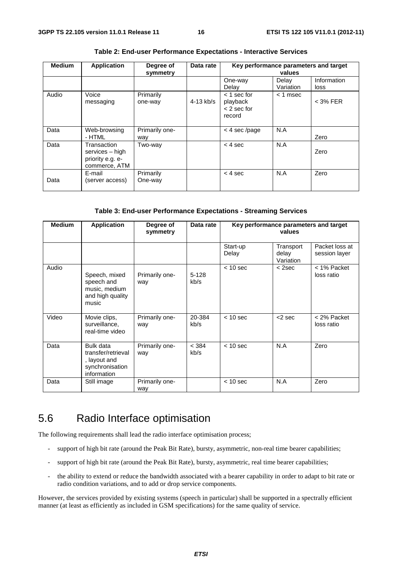| <b>Medium</b> | <b>Application</b>                                                  | Degree of<br>symmetry | Data rate   | Key performance parameters and target<br>values      |                    |                     |
|---------------|---------------------------------------------------------------------|-----------------------|-------------|------------------------------------------------------|--------------------|---------------------|
|               |                                                                     |                       |             | One-way<br>Delay                                     | Delay<br>Variation | Information<br>loss |
| Audio         | Voice<br>messaging                                                  | Primarily<br>one-way  | $4-13$ kb/s | $<$ 1 sec for<br>playback<br>$<$ 2 sec for<br>record | $<$ 1 msec         | $<$ 3% FER          |
| Data          | Web-browsing<br>- HTML                                              | Primarily one-<br>way |             | $<$ 4 sec/page                                       | N.A                | Zero                |
| Data          | Transaction<br>services - high<br>priority e.g. e-<br>commerce, ATM | Two-way               |             | $< 4$ sec                                            | N.A                | Zero                |
| Data          | E-mail<br>(server access)                                           | Primarily<br>One-way  |             | $<$ 4 sec                                            | N.A                | Zero                |

**Table 2: End-user Performance Expectations - Interactive Services** 

## **Table 3: End-user Performance Expectations - Streaming Services**

| <b>Medium</b> | <b>Application</b>                                                                | Degree of<br>symmetry | Data rate       | Key performance parameters and target<br>values |                                 |                                 |
|---------------|-----------------------------------------------------------------------------------|-----------------------|-----------------|-------------------------------------------------|---------------------------------|---------------------------------|
|               |                                                                                   |                       |                 | Start-up<br>Delay                               | Transport<br>delay<br>Variation | Packet loss at<br>session layer |
| Audio         | Speech, mixed<br>speech and<br>music, medium<br>and high quality<br>music         | Primarily one-<br>way | $5-128$<br>kb/s | $< 10$ sec                                      | $<$ 2sec                        | < 1% Packet<br>loss ratio       |
| Video         | Movie clips,<br>surveillance,<br>real-time video                                  | Primarily one-<br>way | 20-384<br>kb/s  | $< 10$ sec                                      | $<$ 2 sec                       | < 2% Packet<br>loss ratio       |
| Data          | Bulk data<br>transfer/retrieval<br>, layout and<br>synchronisation<br>information | Primarily one-<br>way | < 384<br>kb/s   | $< 10$ sec                                      | N.A                             | Zero                            |
| Data          | Still image                                                                       | Primarily one-<br>way |                 | $< 10$ sec                                      | N.A                             | Zero                            |

# 5.6 Radio Interface optimisation

The following requirements shall lead the radio interface optimisation process;

- support of high bit rate (around the Peak Bit Rate), bursty, asymmetric, non-real time bearer capabilities;
- support of high bit rate (around the Peak Bit Rate), bursty, asymmetric, real time bearer capabilities;
- the ability to extend or reduce the bandwidth associated with a bearer capability in order to adapt to bit rate or radio condition variations, and to add or drop service components.

However, the services provided by existing systems (speech in particular) shall be supported in a spectrally efficient manner (at least as efficiently as included in GSM specifications) for the same quality of service.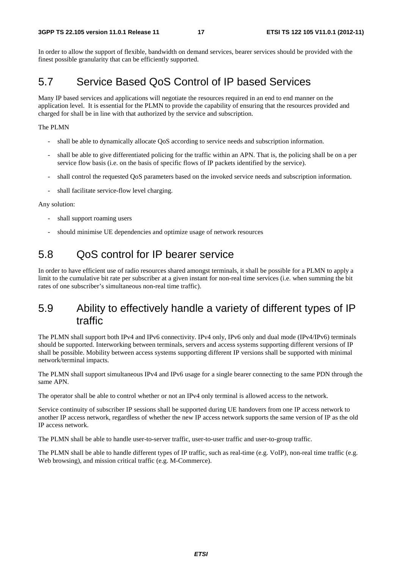In order to allow the support of flexible, bandwidth on demand services, bearer services should be provided with the finest possible granularity that can be efficiently supported.

# 5.7 Service Based QoS Control of IP based Services

Many IP based services and applications will negotiate the resources required in an end to end manner on the application level. It is essential for the PLMN to provide the capability of ensuring that the resources provided and charged for shall be in line with that authorized by the service and subscription.

## The PLMN

- shall be able to dynamically allocate QoS according to service needs and subscription information.
- shall be able to give differentiated policing for the traffic within an APN. That is, the policing shall be on a per service flow basis (i.e. on the basis of specific flows of IP packets identified by the service).
- shall control the requested QoS parameters based on the invoked service needs and subscription information.
- shall facilitate service-flow level charging.

## Any solution:

- shall support roaming users
- should minimise UE dependencies and optimize usage of network resources

# 5.8 QoS control for IP bearer service

In order to have efficient use of radio resources shared amongst terminals, it shall be possible for a PLMN to apply a limit to the cumulative bit rate per subscriber at a given instant for non-real time services (i.e. when summing the bit rates of one subscriber's simultaneous non-real time traffic).

# 5.9 Ability to effectively handle a variety of different types of IP traffic

The PLMN shall support both IPv4 and IPv6 connectivity. IPv4 only, IPv6 only and dual mode (IPv4/IPv6) terminals should be supported. Interworking between terminals, servers and access systems supporting different versions of IP shall be possible. Mobility between access systems supporting different IP versions shall be supported with minimal network/terminal impacts.

The PLMN shall support simultaneous IPv4 and IPv6 usage for a single bearer connecting to the same PDN through the same APN.

The operator shall be able to control whether or not an IPv4 only terminal is allowed access to the network.

Service continuity of subscriber IP sessions shall be supported during UE handovers from one IP access network to another IP access network, regardless of whether the new IP access network supports the same version of IP as the old IP access network.

The PLMN shall be able to handle user-to-server traffic, user-to-user traffic and user-to-group traffic.

The PLMN shall be able to handle different types of IP traffic, such as real-time (e.g. VoIP), non-real time traffic (e.g. Web browsing), and mission critical traffic (e.g. M-Commerce).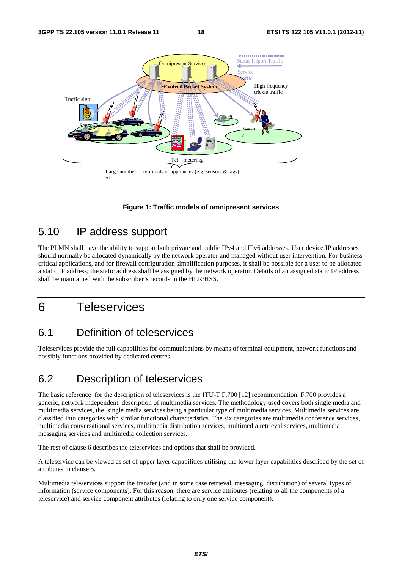

**Figure 1: Traffic models of omnipresent services** 

# 5.10 IP address support

The PLMN shall have the ability to support both private and public IPv4 and IPv6 addresses. User device IP addresses should normally be allocated dynamically by the network operator and managed without user intervention. For business critical applications, and for firewall configuration simplification purposes, it shall be possible for a user to be allocated a static IP address; the static address shall be assigned by the network operator. Details of an assigned static IP address shall be maintained with the subscriber's records in the HLR/HSS.

# 6 Teleservices

# 6.1 Definition of teleservices

Teleservices provide the full capabilities for communications by means of terminal equipment, network functions and possibly functions provided by dedicated centres.

# 6.2 Description of teleservices

The basic reference for the description of teleservices is the ITU-T F.700 [12] recommendation. F.700 provides a generic, network independent, description of multimedia services. The methodology used covers both single media and multimedia services, the single media services being a particular type of multimedia services. Multimedia services are classified into categories with similar functional characteristics. The six categories are multimedia conference services, multimedia conversational services, multimedia distribution services, multimedia retrieval services, multimedia messaging services and multimedia collection services.

The rest of clause 6 describes the teleservices and options that shall be provided.

A teleservice can be viewed as set of upper layer capabilities utilising the lower layer capabilities described by the set of attributes in clause 5.

Multimedia teleservices support the transfer (and in some case retrieval, messaging, distribution) of several types of information (service components). For this reason, there are service attributes (relating to all the components of a teleservice) and service component attributes (relating to only one service component).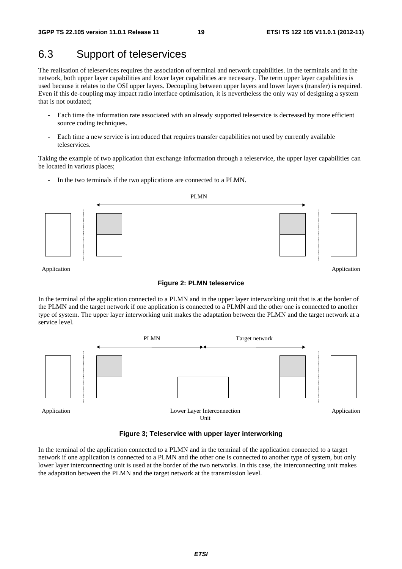Application

# 6.3 Support of teleservices

The realisation of teleservices requires the association of terminal and network capabilities. In the terminals and in the network, both upper layer capabilities and lower layer capabilities are necessary. The term upper layer capabilities is used because it relates to the OSI upper layers. Decoupling between upper layers and lower layers (transfer) is required. Even if this de-coupling may impact radio interface optimisation, it is nevertheless the only way of designing a system that is not outdated;

- Each time the information rate associated with an already supported teleservice is decreased by more efficient source coding techniques.
- Each time a new service is introduced that requires transfer capabilities not used by currently available teleservices.

Taking the example of two application that exchange information through a teleservice, the upper layer capabilities can be located in various places;

In the two terminals if the two applications are connected to a PLMN.



Application

## **Figure 2: PLMN teleservice**

In the terminal of the application connected to a PLMN and in the upper layer interworking unit that is at the border of the PLMN and the target network if one application is connected to a PLMN and the other one is connected to another type of system. The upper layer interworking unit makes the adaptation between the PLMN and the target network at a service level.



**Figure 3; Teleservice with upper layer interworking** 

In the terminal of the application connected to a PLMN and in the terminal of the application connected to a target network if one application is connected to a PLMN and the other one is connected to another type of system, but only lower layer interconnecting unit is used at the border of the two networks. In this case, the interconnecting unit makes the adaptation between the PLMN and the target network at the transmission level.

PLMN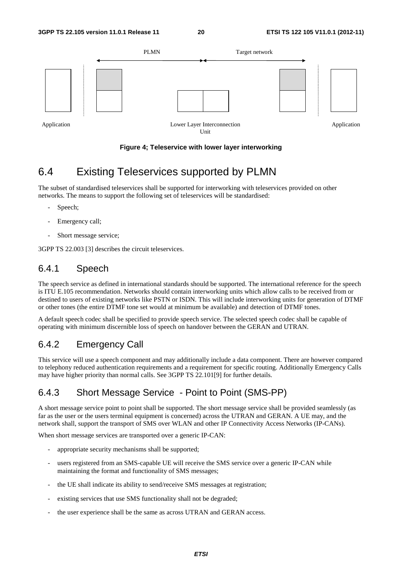

## **Figure 4; Teleservice with lower layer interworking**

# 6.4 Existing Teleservices supported by PLMN

The subset of standardised teleservices shall be supported for interworking with teleservices provided on other networks. The means to support the following set of teleservices will be standardised:

- Speech;
- Emergency call;
- Short message service;

3GPP TS 22.003 [3] describes the circuit teleservices.

## 6.4.1 Speech

The speech service as defined in international standards should be supported. The international reference for the speech is ITU E.105 recommendation. Networks should contain interworking units which allow calls to be received from or destined to users of existing networks like PSTN or ISDN. This will include interworking units for generation of DTMF or other tones (the entire DTMF tone set would at minimum be available) and detection of DTMF tones.

A default speech codec shall be specified to provide speech service. The selected speech codec shall be capable of operating with minimum discernible loss of speech on handover between the GERAN and UTRAN.

## 6.4.2 Emergency Call

This service will use a speech component and may additionally include a data component. There are however compared to telephony reduced authentication requirements and a requirement for specific routing. Additionally Emergency Calls may have higher priority than normal calls. See 3GPP TS 22.101[9] for further details.

## 6.4.3 Short Message Service - Point to Point (SMS-PP)

A short message service point to point shall be supported. The short message service shall be provided seamlessly (as far as the user or the users terminal equipment is concerned) across the UTRAN and GERAN. A UE may, and the network shall, support the transport of SMS over WLAN and other IP Connectivity Access Networks (IP-CANs).

When short message services are transported over a generic IP-CAN:

- appropriate security mechanisms shall be supported;
- users registered from an SMS-capable UE will receive the SMS service over a generic IP-CAN while maintaining the format and functionality of SMS messages;
- the UE shall indicate its ability to send/receive SMS messages at registration;
- existing services that use SMS functionality shall not be degraded;
- the user experience shall be the same as across UTRAN and GERAN access.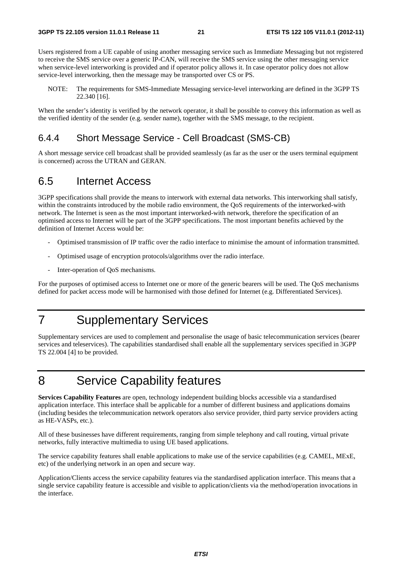Users registered from a UE capable of using another messaging service such as Immediate Messaging but not registered to receive the SMS service over a generic IP-CAN, will receive the SMS service using the other messaging service when service-level interworking is provided and if operator policy allows it. In case operator policy does not allow service-level interworking, then the message may be transported over CS or PS.

NOTE: The requirements for SMS-Immediate Messaging service-level interworking are defined in the 3GPP TS 22.340 [16].

When the sender's identity is verified by the network operator, it shall be possible to convey this information as well as the verified identity of the sender (e.g. sender name), together with the SMS message, to the recipient.

## 6.4.4 Short Message Service - Cell Broadcast (SMS-CB)

A short message service cell broadcast shall be provided seamlessly (as far as the user or the users terminal equipment is concerned) across the UTRAN and GERAN.

## 6.5 Internet Access

3GPP specifications shall provide the means to interwork with external data networks. This interworking shall satisfy, within the constraints introduced by the mobile radio environment, the QoS requirements of the interworked-with network. The Internet is seen as the most important interworked-with network, therefore the specification of an optimised access to Internet will be part of the 3GPP specifications. The most important benefits achieved by the definition of Internet Access would be:

- Optimised transmission of IP traffic over the radio interface to minimise the amount of information transmitted.
- Optimised usage of encryption protocols/algorithms over the radio interface.
- Inter-operation of QoS mechanisms.

For the purposes of optimised access to Internet one or more of the generic bearers will be used. The QoS mechanisms defined for packet access mode will be harmonised with those defined for Internet (e.g. Differentiated Services).

# 7 Supplementary Services

Supplementary services are used to complement and personalise the usage of basic telecommunication services (bearer services and teleservices). The capabilities standardised shall enable all the supplementary services specified in 3GPP TS 22.004 [4] to be provided.

# 8 Service Capability features

**Services Capability Features** are open, technology independent building blocks accessible via a standardised application interface. This interface shall be applicable for a number of different business and applications domains (including besides the telecommunication network operators also service provider, third party service providers acting as HE-VASPs, etc.).

All of these businesses have different requirements, ranging from simple telephony and call routing, virtual private networks, fully interactive multimedia to using UE based applications.

The service capability features shall enable applications to make use of the service capabilities (e.g. CAMEL, MExE, etc) of the underlying network in an open and secure way.

Application/Clients access the service capability features via the standardised application interface. This means that a single service capability feature is accessible and visible to application/clients via the method/operation invocations in the interface.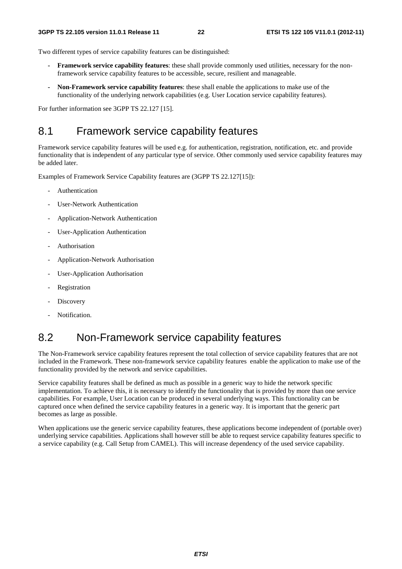Two different types of service capability features can be distinguished:

- **Framework service capability features**: these shall provide commonly used utilities, necessary for the nonframework service capability features to be accessible, secure, resilient and manageable.
- **Non-Framework service capability features**: these shall enable the applications to make use of the functionality of the underlying network capabilities (e.g. User Location service capability features).

For further information see 3GPP TS 22.127 [15].

# 8.1 Framework service capability features

Framework service capability features will be used e.g. for authentication, registration, notification, etc. and provide functionality that is independent of any particular type of service. Other commonly used service capability features may be added later.

Examples of Framework Service Capability features are (3GPP TS 22.127[15]):

- Authentication
- User-Network Authentication
- Application-Network Authentication
- User-Application Authentication
- **Authorisation**
- Application-Network Authorisation
- User-Application Authorisation
- Registration
- Discovery
- Notification.

# 8.2 Non-Framework service capability features

The Non-Framework service capability features represent the total collection of service capability features that are not included in the Framework. These non-framework service capability features enable the application to make use of the functionality provided by the network and service capabilities.

Service capability features shall be defined as much as possible in a generic way to hide the network specific implementation. To achieve this, it is necessary to identify the functionality that is provided by more than one service capabilities. For example, User Location can be produced in several underlying ways. This functionality can be captured once when defined the service capability features in a generic way. It is important that the generic part becomes as large as possible.

When applications use the generic service capability features, these applications become independent of (portable over) underlying service capabilities. Applications shall however still be able to request service capability features specific to a service capability (e.g. Call Setup from CAMEL). This will increase dependency of the used service capability.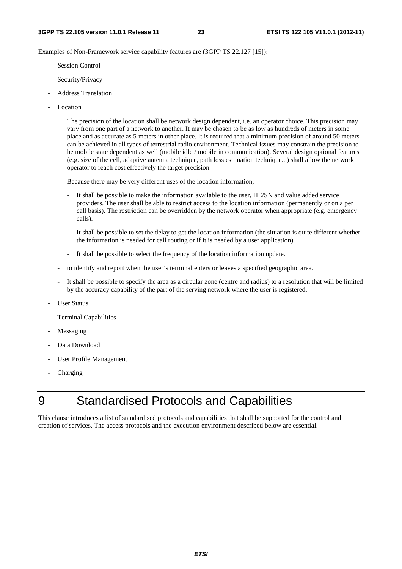Examples of Non-Framework service capability features are (3GPP TS 22.127 [15]):

- Session Control
- Security/Privacy
- Address Translation
- Location

 The precision of the location shall be network design dependent, i.e. an operator choice. This precision may vary from one part of a network to another. It may be chosen to be as low as hundreds of meters in some place and as accurate as 5 meters in other place. It is required that a minimum precision of around 50 meters can be achieved in all types of terrestrial radio environment. Technical issues may constrain the precision to be mobile state dependent as well (mobile idle / mobile in communication). Several design optional features (e.g. size of the cell, adaptive antenna technique, path loss estimation technique...) shall allow the network operator to reach cost effectively the target precision.

Because there may be very different uses of the location information;

- It shall be possible to make the information available to the user, HE/SN and value added service providers. The user shall be able to restrict access to the location information (permanently or on a per call basis). The restriction can be overridden by the network operator when appropriate (e.g. emergency calls).
- It shall be possible to set the delay to get the location information (the situation is quite different whether the information is needed for call routing or if it is needed by a user application).
- It shall be possible to select the frequency of the location information update.
- to identify and report when the user's terminal enters or leaves a specified geographic area.
- It shall be possible to specify the area as a circular zone (centre and radius) to a resolution that will be limited by the accuracy capability of the part of the serving network where the user is registered.
- User Status
- Terminal Capabilities
- Messaging
- Data Download
- User Profile Management
- Charging

# 9 Standardised Protocols and Capabilities

This clause introduces a list of standardised protocols and capabilities that shall be supported for the control and creation of services. The access protocols and the execution environment described below are essential.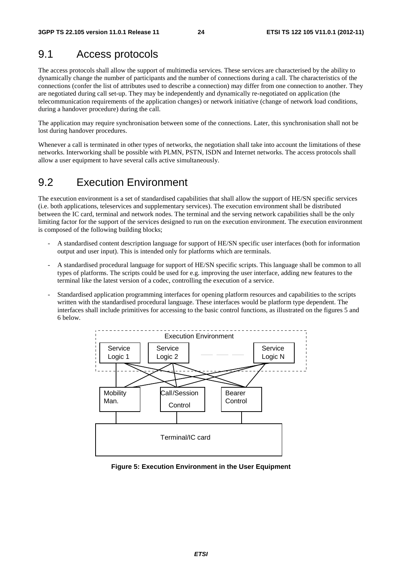# 9.1 Access protocols

The access protocols shall allow the support of multimedia services. These services are characterised by the ability to dynamically change the number of participants and the number of connections during a call. The characteristics of the connections (confer the list of attributes used to describe a connection) may differ from one connection to another. They are negotiated during call set-up. They may be independently and dynamically re-negotiated on application (the telecommunication requirements of the application changes) or network initiative (change of network load conditions, during a handover procedure) during the call.

The application may require synchronisation between some of the connections. Later, this synchronisation shall not be lost during handover procedures.

Whenever a call is terminated in other types of networks, the negotiation shall take into account the limitations of these networks. Interworking shall be possible with PLMN, PSTN, ISDN and Internet networks. The access protocols shall allow a user equipment to have several calls active simultaneously.

# 9.2 Execution Environment

The execution environment is a set of standardised capabilities that shall allow the support of HE/SN specific services (i.e. both applications, teleservices and supplementary services). The execution environment shall be distributed between the IC card, terminal and network nodes. The terminal and the serving network capabilities shall be the only limiting factor for the support of the services designed to run on the execution environment. The execution environment is composed of the following building blocks;

- A standardised content description language for support of HE/SN specific user interfaces (both for information output and user input). This is intended only for platforms which are terminals.
- A standardised procedural language for support of HE/SN specific scripts. This language shall be common to all types of platforms. The scripts could be used for e.g. improving the user interface, adding new features to the terminal like the latest version of a codec, controlling the execution of a service.
- Standardised application programming interfaces for opening platform resources and capabilities to the scripts written with the standardised procedural language. These interfaces would be platform type dependent. The interfaces shall include primitives for accessing to the basic control functions, as illustrated on the figures 5 and 6 below.



**Figure 5: Execution Environment in the User Equipment**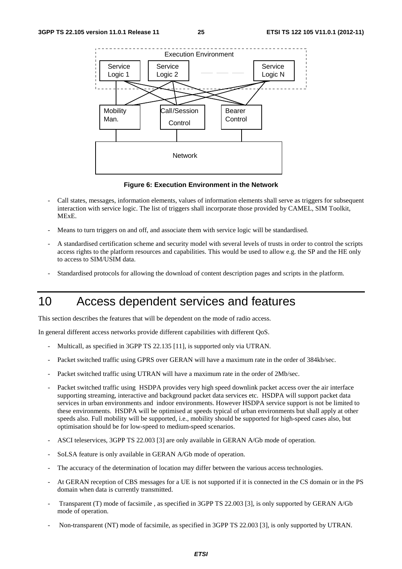

**Figure 6: Execution Environment in the Network** 

- Call states, messages, information elements, values of information elements shall serve as triggers for subsequent interaction with service logic. The list of triggers shall incorporate those provided by CAMEL, SIM Toolkit, MExE.
- Means to turn triggers on and off, and associate them with service logic will be standardised.
- A standardised certification scheme and security model with several levels of trusts in order to control the scripts access rights to the platform resources and capabilities. This would be used to allow e.g. the SP and the HE only to access to SIM/USIM data.
- Standardised protocols for allowing the download of content description pages and scripts in the platform.

# 10 Access dependent services and features

This section describes the features that will be dependent on the mode of radio access.

In general different access networks provide different capabilities with different QoS.

- Multicall, as specified in 3GPP TS 22.135 [11], is supported only via UTRAN.
- Packet switched traffic using GPRS over GERAN will have a maximum rate in the order of 384kb/sec.
- Packet switched traffic using UTRAN will have a maximum rate in the order of 2Mb/sec.
- Packet switched traffic using HSDPA provides very high speed downlink packet access over the air interface supporting streaming, interactive and background packet data services etc. HSDPA will support packet data services in urban environments and indoor environments. However HSDPA service support is not be limited to these environments. HSDPA will be optimised at speeds typical of urban environments but shall apply at other speeds also. Full mobility will be supported, i.e., mobility should be supported for high-speed cases also, but optimisation should be for low-speed to medium-speed scenarios.
- ASCI teleservices, 3GPP TS 22.003 [3] are only available in GERAN A/Gb mode of operation.
- SoLSA feature is only available in GERAN A/Gb mode of operation.
- The accuracy of the determination of location may differ between the various access technologies.
- At GERAN reception of CBS messages for a UE is not supported if it is connected in the CS domain or in the PS domain when data is currently transmitted.
- Transparent (T) mode of facsimile, as specified in 3GPP TS 22.003 [3], is only supported by GERAN A/Gb mode of operation.
- Non-transparent (NT) mode of facsimile, as specified in 3GPP TS 22.003 [3], is only supported by UTRAN.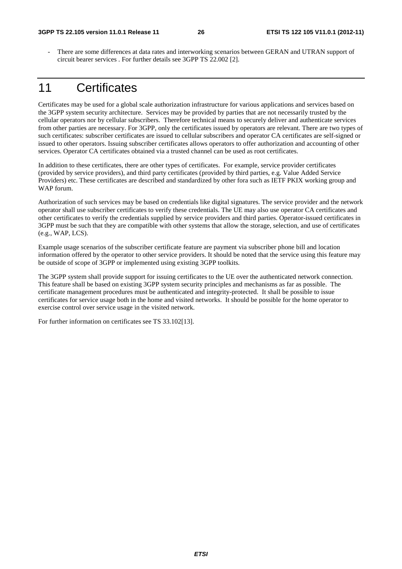- There are some differences at data rates and interworking scenarios between GERAN and UTRAN support of circuit bearer services . For further details see 3GPP TS 22.002 [2].

# 11 Certificates

Certificates may be used for a global scale authorization infrastructure for various applications and services based on the 3GPP system security architecture. Services may be provided by parties that are not necessarily trusted by the cellular operators nor by cellular subscribers. Therefore technical means to securely deliver and authenticate services from other parties are necessary. For 3GPP, only the certificates issued by operators are relevant. There are two types of such certificates: subscriber certificates are issued to cellular subscribers and operator CA certificates are self-signed or issued to other operators. Issuing subscriber certificates allows operators to offer authorization and accounting of other services. Operator CA certificates obtained via a trusted channel can be used as root certificates.

In addition to these certificates, there are other types of certificates. For example, service provider certificates (provided by service providers), and third party certificates (provided by third parties, e.g. Value Added Service Providers) etc. These certificates are described and standardized by other fora such as IETF PKIX working group and WAP forum.

Authorization of such services may be based on credentials like digital signatures. The service provider and the network operator shall use subscriber certificates to verify these credentials. The UE may also use operator CA certificates and other certificates to verify the credentials supplied by service providers and third parties. Operator-issued certificates in 3GPP must be such that they are compatible with other systems that allow the storage, selection, and use of certificates (e.g., WAP, LCS).

Example usage scenarios of the subscriber certificate feature are payment via subscriber phone bill and location information offered by the operator to other service providers. It should be noted that the service using this feature may be outside of scope of 3GPP or implemented using existing 3GPP toolkits.

The 3GPP system shall provide support for issuing certificates to the UE over the authenticated network connection. This feature shall be based on existing 3GPP system security principles and mechanisms as far as possible. The certificate management procedures must be authenticated and integrity-protected. It shall be possible to issue certificates for service usage both in the home and visited networks. It should be possible for the home operator to exercise control over service usage in the visited network.

For further information on certificates see TS 33.102[13].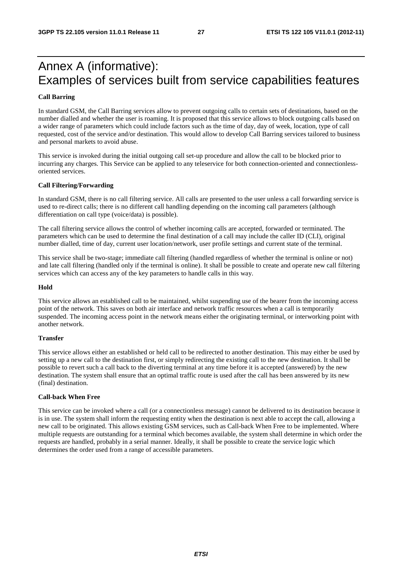# Annex A (informative): Examples of services built from service capabilities features

## **Call Barring**

In standard GSM, the Call Barring services allow to prevent outgoing calls to certain sets of destinations, based on the number dialled and whether the user is roaming. It is proposed that this service allows to block outgoing calls based on a wider range of parameters which could include factors such as the time of day, day of week, location, type of call requested, cost of the service and/or destination. This would allow to develop Call Barring services tailored to business and personal markets to avoid abuse.

This service is invoked during the initial outgoing call set-up procedure and allow the call to be blocked prior to incurring any charges. This Service can be applied to any teleservice for both connection-oriented and connectionlessoriented services.

## **Call Filtering/Forwarding**

In standard GSM, there is no call filtering service. All calls are presented to the user unless a call forwarding service is used to re-direct calls; there is no different call handling depending on the incoming call parameters (although differentiation on call type (voice/data) is possible).

The call filtering service allows the control of whether incoming calls are accepted, forwarded or terminated. The parameters which can be used to determine the final destination of a call may include the caller ID (CLI), original number dialled, time of day, current user location/network, user profile settings and current state of the terminal.

This service shall be two-stage; immediate call filtering (handled regardless of whether the terminal is online or not) and late call filtering (handled only if the terminal is online). It shall be possible to create and operate new call filtering services which can access any of the key parameters to handle calls in this way.

### **Hold**

This service allows an established call to be maintained, whilst suspending use of the bearer from the incoming access point of the network. This saves on both air interface and network traffic resources when a call is temporarily suspended. The incoming access point in the network means either the originating terminal, or interworking point with another network.

## **Transfer**

This service allows either an established or held call to be redirected to another destination. This may either be used by setting up a new call to the destination first, or simply redirecting the existing call to the new destination. It shall be possible to revert such a call back to the diverting terminal at any time before it is accepted (answered) by the new destination. The system shall ensure that an optimal traffic route is used after the call has been answered by its new (final) destination.

## **Call-back When Free**

This service can be invoked where a call (or a connectionless message) cannot be delivered to its destination because it is in use. The system shall inform the requesting entity when the destination is next able to accept the call, allowing a new call to be originated. This allows existing GSM services, such as Call-back When Free to be implemented. Where multiple requests are outstanding for a terminal which becomes available, the system shall determine in which order the requests are handled, probably in a serial manner. Ideally, it shall be possible to create the service logic which determines the order used from a range of accessible parameters.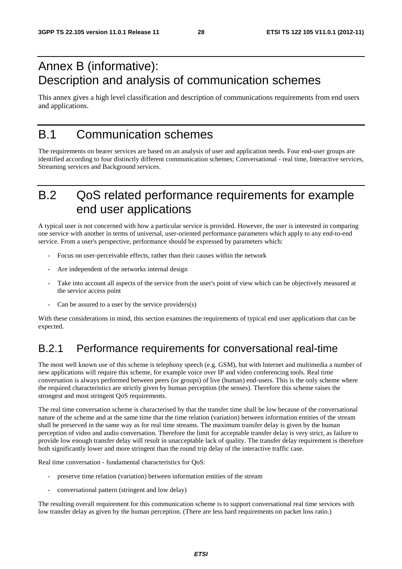# Annex B (informative): Description and analysis of communication schemes

This annex gives a high level classification and description of communications requirements from end users and applications.

# B.1 Communication schemes

The requirements on bearer services are based on an analysis of user and application needs. Four end-user groups are identified according to four distinctly different communication schemes; Conversational - real time, Interactive services, Streaming services and Background services.

# B.2 QoS related performance requirements for example end user applications

A typical user is not concerned with how a particular service is provided. However, the user is interested in comparing one service with another in terms of universal, user-oriented performance parameters which apply to any end-to-end service. From a user's perspective, performance should be expressed by parameters which:

- Focus on user-perceivable effects, rather than their causes within the network
- Are independent of the networks internal design
- Take into account all aspects of the service from the user's point of view which can be objectively measured at the service access point
- Can be assured to a user by the service providers $(s)$

With these considerations in mind, this section examines the requirements of typical end user applications that can be expected.

# B.2.1 Performance requirements for conversational real-time

The most well known use of this scheme is telephony speech (e.g. GSM), but with Internet and multimedia a number of new applications will require this scheme, for example voice over IP and video conferencing tools. Real time conversation is always performed between peers (or groups) of live (human) end-users. This is the only scheme where the required characteristics are strictly given by human perception (the senses). Therefore this scheme raises the strongest and most stringent QoS requirements.

The real time conversation scheme is characterised by that the transfer time shall be low because of the conversational nature of the scheme and at the same time that the time relation (variation) between information entities of the stream shall be preserved in the same way as for real time streams. The maximum transfer delay is given by the human perception of video and audio conversation. Therefore the limit for acceptable transfer delay is very strict, as failure to provide low enough transfer delay will result in unacceptable lack of quality. The transfer delay requirement is therefore both significantly lower and more stringent than the round trip delay of the interactive traffic case.

Real time conversation - fundamental characteristics for QoS:

- preserve time relation (variation) between information entities of the stream
- conversational pattern (stringent and low delay)

The resulting overall requirement for this communication scheme is to support conversational real time services with low transfer delay as given by the human perception. (There are less hard requirements on packet loss ratio.)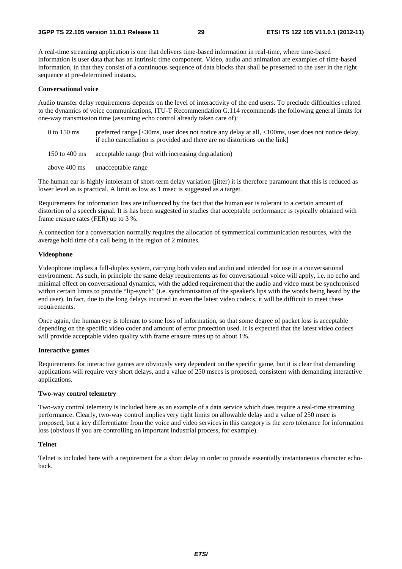A real-time streaming application is one that delivers time-based information in real-time, where time-based information is user data that has an intrinsic time component. Video, audio and animation are examples of time-based information, in that they consist of a continuous sequence of data blocks that shall be presented to the user in the right sequence at pre-determined instants.

## **Conversational voice**

Audio transfer delay requirements depends on the level of interactivity of the end users. To preclude difficulties related to the dynamics of voice communications, ITU-T Recommendation G.114 recommends the following general limits for one-way transmission time (assuming echo control already taken care of):

- 0 to 150 ms preferred range [<30ms, user does not notice any delay at all, <100ms, user does not notice delay if echo cancellation is provided and there are no distortions on the link]
- 150 to 400 ms acceptable range (but with increasing degradation)
- above 400 ms unacceptable range

The human ear is highly intolerant of short-term delay variation (jitter) it is therefore paramount that this is reduced as lower level as is practical. A limit as low as 1 msec is suggested as a target.

Requirements for information loss are influenced by the fact that the human ear is tolerant to a certain amount of distortion of a speech signal. It is has been suggested in studies that acceptable performance is typically obtained with frame erasure rates (FER) up to 3 %.

A connection for a conversation normally requires the allocation of symmetrical communication resources, with the average hold time of a call being in the region of 2 minutes.

## **Videophone**

Videophone implies a full-duplex system, carrying both video and audio and intended for use in a conversational environment. As such, in principle the same delay requirements as for conversational voice will apply, i.e. no echo and minimal effect on conversational dynamics, with the added requirement that the audio and video must be synchronised within certain limits to provide "lip-synch" (i.e. synchronisation of the speaker's lips with the words being heard by the end user). In fact, due to the long delays incurred in even the latest video codecs, it will be difficult to meet these requirements.

Once again, the human eye is tolerant to some loss of information, so that some degree of packet loss is acceptable depending on the specific video coder and amount of error protection used. It is expected that the latest video codecs will provide acceptable video quality with frame erasure rates up to about 1%.

## **Interactive games**

Requirements for interactive games are obviously very dependent on the specific game, but it is clear that demanding applications will require very short delays, and a value of 250 msecs is proposed, consistent with demanding interactive applications.

## **Two-way control telemetry**

Two-way control telemetry is included here as an example of a data service which does require a real-time streaming performance. Clearly, two-way control implies very tight limits on allowable delay and a value of 250 msec is proposed, but a key differentiator from the voice and video services in this category is the zero tolerance for information loss (obvious if you are controlling an important industrial process, for example).

## **Telnet**

Telnet is included here with a requirement for a short delay in order to provide essentially instantaneous character echoback.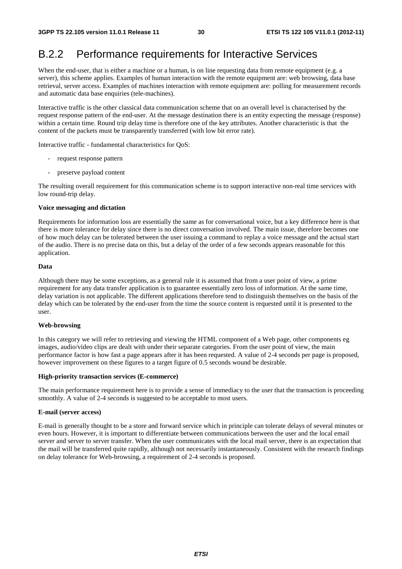# B.2.2 Performance requirements for Interactive Services

When the end-user, that is either a machine or a human, is on line requesting data from remote equipment (e.g. a server), this scheme applies. Examples of human interaction with the remote equipment are: web browsing, data base retrieval, server access. Examples of machines interaction with remote equipment are: polling for measurement records and automatic data base enquiries (tele-machines).

Interactive traffic is the other classical data communication scheme that on an overall level is characterised by the request response pattern of the end-user. At the message destination there is an entity expecting the message (response) within a certain time. Round trip delay time is therefore one of the key attributes. Another characteristic is that the content of the packets must be transparently transferred (with low bit error rate).

Interactive traffic - fundamental characteristics for QoS:

- request response pattern
- preserve payload content

The resulting overall requirement for this communication scheme is to support interactive non-real time services with low round-trip delay.

### **Voice messaging and dictation**

Requirements for information loss are essentially the same as for conversational voice, but a key difference here is that there is more tolerance for delay since there is no direct conversation involved. The main issue, therefore becomes one of how much delay can be tolerated between the user issuing a command to replay a voice message and the actual start of the audio. There is no precise data on this, but a delay of the order of a few seconds appears reasonable for this application.

### **Data**

Although there may be some exceptions, as a general rule it is assumed that from a user point of view, a prime requirement for any data transfer application is to guarantee essentially zero loss of information. At the same time, delay variation is not applicable. The different applications therefore tend to distinguish themselves on the basis of the delay which can be tolerated by the end-user from the time the source content is requested until it is presented to the user.

## **Web-browsing**

In this category we will refer to retrieving and viewing the HTML component of a Web page, other components eg images, audio/video clips are dealt with under their separate categories. From the user point of view, the main performance factor is how fast a page appears after it has been requested. A value of 2-4 seconds per page is proposed, however improvement on these figures to a target figure of 0.5 seconds wound be desirable.

#### **High-priority transaction services (E-commerce)**

The main performance requirement here is to provide a sense of immediacy to the user that the transaction is proceeding smoothly. A value of 2-4 seconds is suggested to be acceptable to most users.

## **E-mail (server access)**

E-mail is generally thought to be a store and forward service which in principle can tolerate delays of several minutes or even hours. However, it is important to differentiate between communications between the user and the local email server and server to server transfer. When the user communicates with the local mail server, there is an expectation that the mail will be transferred quite rapidly, although not necessarily instantaneously. Consistent with the research findings on delay tolerance for Web-browsing, a requirement of 2-4 seconds is proposed.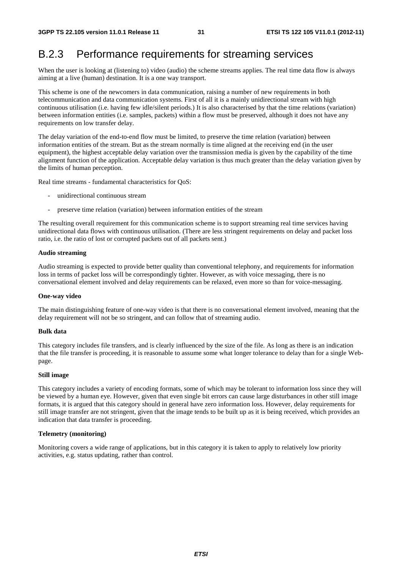# B.2.3 Performance requirements for streaming services

When the user is looking at (listening to) video (audio) the scheme streams applies. The real time data flow is always aiming at a live (human) destination. It is a one way transport.

This scheme is one of the newcomers in data communication, raising a number of new requirements in both telecommunication and data communication systems. First of all it is a mainly unidirectional stream with high continuous utilisation (i.e. having few idle/silent periods.) It is also characterised by that the time relations (variation) between information entities (i.e. samples, packets) within a flow must be preserved, although it does not have any requirements on low transfer delay.

The delay variation of the end-to-end flow must be limited, to preserve the time relation (variation) between information entities of the stream. But as the stream normally is time aligned at the receiving end (in the user equipment), the highest acceptable delay variation over the transmission media is given by the capability of the time alignment function of the application. Acceptable delay variation is thus much greater than the delay variation given by the limits of human perception.

Real time streams - fundamental characteristics for QoS:

- unidirectional continuous stream
- preserve time relation (variation) between information entities of the stream

The resulting overall requirement for this communication scheme is to support streaming real time services having unidirectional data flows with continuous utilisation. (There are less stringent requirements on delay and packet loss ratio, i.e. the ratio of lost or corrupted packets out of all packets sent.)

## **Audio streaming**

Audio streaming is expected to provide better quality than conventional telephony, and requirements for information loss in terms of packet loss will be correspondingly tighter. However, as with voice messaging, there is no conversational element involved and delay requirements can be relaxed, even more so than for voice-messaging.

#### **One-way video**

The main distinguishing feature of one-way video is that there is no conversational element involved, meaning that the delay requirement will not be so stringent, and can follow that of streaming audio.

## **Bulk data**

This category includes file transfers, and is clearly influenced by the size of the file. As long as there is an indication that the file transfer is proceeding, it is reasonable to assume some what longer tolerance to delay than for a single Webpage.

## **Still image**

This category includes a variety of encoding formats, some of which may be tolerant to information loss since they will be viewed by a human eye. However, given that even single bit errors can cause large disturbances in other still image formats, it is argued that this category should in general have zero information loss. However, delay requirements for still image transfer are not stringent, given that the image tends to be built up as it is being received, which provides an indication that data transfer is proceeding.

## **Telemetry (monitoring)**

Monitoring covers a wide range of applications, but in this category it is taken to apply to relatively low priority activities, e.g. status updating, rather than control.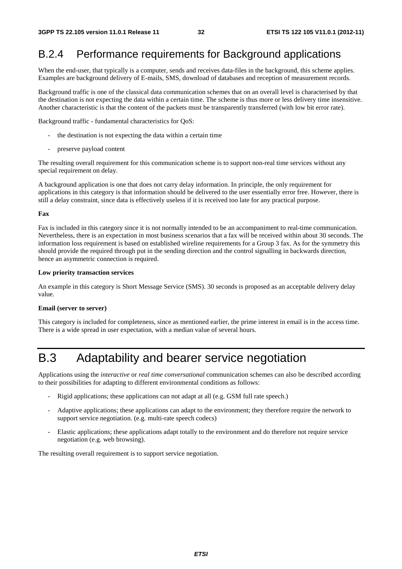# B.2.4 Performance requirements for Background applications

When the end-user, that typically is a computer, sends and receives data-files in the background, this scheme applies. Examples are background delivery of E-mails, SMS, download of databases and reception of measurement records.

Background traffic is one of the classical data communication schemes that on an overall level is characterised by that the destination is not expecting the data within a certain time. The scheme is thus more or less delivery time insensitive. Another characteristic is that the content of the packets must be transparently transferred (with low bit error rate).

Background traffic - fundamental characteristics for QoS:

- the destination is not expecting the data within a certain time
- preserve payload content

The resulting overall requirement for this communication scheme is to support non-real time services without any special requirement on delay.

A background application is one that does not carry delay information. In principle, the only requirement for applications in this category is that information should be delivered to the user essentially error free. However, there is still a delay constraint, since data is effectively useless if it is received too late for any practical purpose.

### **Fax**

Fax is included in this category since it is not normally intended to be an accompaniment to real-time communication. Nevertheless, there is an expectation in most business scenarios that a fax will be received within about 30 seconds. The information loss requirement is based on established wireline requirements for a Group 3 fax. As for the symmetry this should provide the required through put in the sending direction and the control signalling in backwards direction, hence an asymmetric connection is required.

### **Low priority transaction services**

An example in this category is Short Message Service (SMS). 30 seconds is proposed as an acceptable delivery delay value.

## **Email (server to server)**

This category is included for completeness, since as mentioned earlier, the prime interest in email is in the access time. There is a wide spread in user expectation, with a median value of several hours.

# B.3 Adaptability and bearer service negotiation

Applications using the *interactive* or *real time conversational* communication schemes can also be described according to their possibilities for adapting to different environmental conditions as follows:

- Rigid applications; these applications can not adapt at all (e.g. GSM full rate speech.)
- Adaptive applications; these applications can adapt to the environment; they therefore require the network to support service negotiation. (e.g. multi-rate speech codecs)
- Elastic applications; these applications adapt totally to the environment and do therefore not require service negotiation (e.g. web browsing).

The resulting overall requirement is to support service negotiation.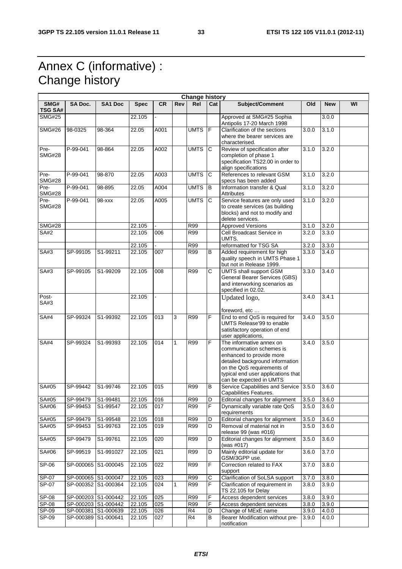# Annex C (informative) : Change history

 $\mathsf{r}$ 

| <b>Change history</b>  |                     |                |             |           |     |             |                |                                                                                                                                                                                                                    |                    |            |    |
|------------------------|---------------------|----------------|-------------|-----------|-----|-------------|----------------|--------------------------------------------------------------------------------------------------------------------------------------------------------------------------------------------------------------------|--------------------|------------|----|
| SMG#<br><b>TSG SA#</b> | <b>SA Doc.</b>      | <b>SA1 Doc</b> | <b>Spec</b> | <b>CR</b> | Rev | Rel         | Cat            | Subject/Comment                                                                                                                                                                                                    | Old                | <b>New</b> | WI |
| <b>SMG#25</b>          |                     |                | 22.105      |           |     |             |                | Approved at SMG#25 Sophia<br>Antipolis 17-20 March 1998                                                                                                                                                            |                    | 3.0.0      |    |
| <b>SMG#26</b>          | 98-0325             | 98-364         | 22.05       | A001      |     | <b>UMTS</b> | F              | Clarification of the sections<br>where the bearer services are<br>characterised.                                                                                                                                   | 3.0.0              | 3.1.0      |    |
| Pre-<br><b>SMG#28</b>  | P-99-041            | 98-864         | 22.05       | A002      |     | <b>UMTS</b> | C              | Review of specification after<br>completion of phase 1<br>specification TS22.00 in order to<br>align specifications                                                                                                | 3.1.0              | 3.2.0      |    |
| Pre-<br><b>SMG#28</b>  | P-99-041            | 98-870         | 22.05       | A003      |     | <b>UMTS</b> | C              | References to relevant GSM<br>specs has been added                                                                                                                                                                 | 3.1.0              | 3.2.0      |    |
| Pre-<br><b>SMG#28</b>  | P-99-041            | 98-895         | 22.05       | A004      |     | <b>UMTS</b> | B              | Information transfer & Qual<br><b>Attributes</b>                                                                                                                                                                   | 3.1.0              | 3.2.0      |    |
| Pre-<br><b>SMG#28</b>  | P-99-041            | 98-xxx         | 22.05       | A005      |     | <b>UMTS</b> | C              | Service features are only used<br>to create services (as building<br>blocks) and not to modify and<br>delete services.                                                                                             | 3.1.0              | 3.2.0      |    |
| <b>SMG#28</b>          |                     |                | 22.105      |           |     | <b>R99</b>  |                | <b>Approved Versions</b>                                                                                                                                                                                           | $\overline{3.1.0}$ | 3.2.0      |    |
| SA#2                   |                     |                | 22.105      | 006       |     | R99         |                | Cell Broadcast Service in<br>UMTS.                                                                                                                                                                                 | 3.2.0              | 3.3.0      |    |
|                        |                     |                | 22.105      |           |     | <b>R99</b>  |                | reformatted for TSG SA                                                                                                                                                                                             | 3.2.0              | 3.3.0      |    |
| SA#3                   | SP-99105            | S1-99211       | 22.105      | 007       |     | <b>R99</b>  | B              | Added requirement for high<br>quality speech in UMTS Phase 1<br>but not in Release 1999.                                                                                                                           | 3.3.0              | 3.4.0      |    |
| SA#3                   | SP-99105            | S1-99209       | 22.105      | 008       |     | R99         | C              | <b>UMTS</b> shall support GSM<br>General Bearer Services (GBS)<br>and interworking scenarios as<br>specified in 02.02.                                                                                             | 3.3.0              | 3.4.0      |    |
| Post-<br>SA#3          |                     |                | 22.105      |           |     |             |                | Updated logo,<br>foreword, etc                                                                                                                                                                                     | 3.4.0              | 3.4.1      |    |
| <b>SA#4</b>            | SP-99324            | S1-99392       | 22.105      | 013       | 3   | R99         | F              | End to end QoS is required for<br>UMTS Release'99 to enable<br>satisfactory operation of end<br>user applications,                                                                                                 | 3.4.0              | 3.5.0      |    |
| <b>SA#4</b>            | SP-99324            | S1-99393       | 22.105      | 014       | 1   | R99         | F              | The informative annex on<br>communication schemes is<br>enhanced to provide more<br>detailed background information<br>on the QoS requirements of<br>typical end user applications that<br>can be expected in UMTS | 3.4.0              | 3.5.0      |    |
| SA#05                  | SP-99442            | S1-99746       | 22.105      | 015       |     | <b>R99</b>  | B              | Service Capabilities and Service 3.5.0<br>Capabilities Features.                                                                                                                                                   |                    | 3.6.0      |    |
| SA#05                  | SP-99479            | S1-99481       | 22.105      | 016       |     | R99         | D              | Editorial changes for alignment                                                                                                                                                                                    | 3.5.0              | 3.6.0      |    |
| SA#06                  | SP-99453            | S1-99547       | 22.105      | 017       |     | <b>R99</b>  | F              | Dynamically variable rate QoS<br>requirements                                                                                                                                                                      | 3.5.0              | 3.6.0      |    |
| SA#05                  | SP-99479            | S1-99548       | 22.105      | 018       |     | R99         | D              | Editorial changes for alignment                                                                                                                                                                                    | 3.5.0              | 3.6.0      |    |
| SA#05                  | SP-99453            | S1-99763       | 22.105      | 019       |     | <b>R99</b>  | D              | Removal of material not in<br>release 99 (was #016)                                                                                                                                                                | 3.5.0              | 3.6.0      |    |
| SA#05                  | SP-99479            | S1-99761       | 22.105      | 020       |     | <b>R99</b>  | D              | Editorial changes for alignment<br>(was $\#017$ )                                                                                                                                                                  | 3.5.0              | 3.6.0      |    |
| SA#06                  | SP-99519            | S1-991027      | 22.105      | 021       |     | <b>R99</b>  | D              | Mainly editorial update for<br>GSM/3GPP use.                                                                                                                                                                       | 3.6.0              | 3.7.0      |    |
| SP-06                  | SP-000065 S1-000045 |                | 22.105      | 022       |     | R99         | F              | Correction related to FAX<br>support                                                                                                                                                                               | $\overline{3.7.0}$ | 3.8.0      |    |
| SP-07                  | SP-000065 S1-000047 |                | 22.105      | 023       |     | <b>R99</b>  | C              | Clarification of SoLSA support                                                                                                                                                                                     | 3.7.0              | 3.8.0      |    |
| SP-07                  | SP-000352 S1-000364 |                | 22.105      | 024       | 1   | <b>R99</b>  | F              | Clarification of requirement in<br>TS 22.105 for Delay                                                                                                                                                             | 3.8.0              | 3.9.0      |    |
| SP-08                  | SP-000203 S1-000442 |                | 22.105      | 025       |     | R99         | F              | Access dependent services                                                                                                                                                                                          | 3.8.0              | 3.9.0      |    |
| SP-08                  | SP-000203 S1-000442 |                | 22.105      | 025       |     | R99         | $\overline{F}$ | Access dependent services                                                                                                                                                                                          | 3.8.0              | 3.9.0      |    |
| $SP-09$                | SP-000381 S1-000639 |                | 22.105      | 026       |     | R4          | D              | Change of MExE name                                                                                                                                                                                                | 3.9.0              | 4.0.0      |    |
| SP-09                  | SP-000389 S1-000641 |                | 22.105      | 027       |     | R4          | B              | Bearer Modification without pre-<br>notification                                                                                                                                                                   | 3.9.0              | 4.0.0      |    |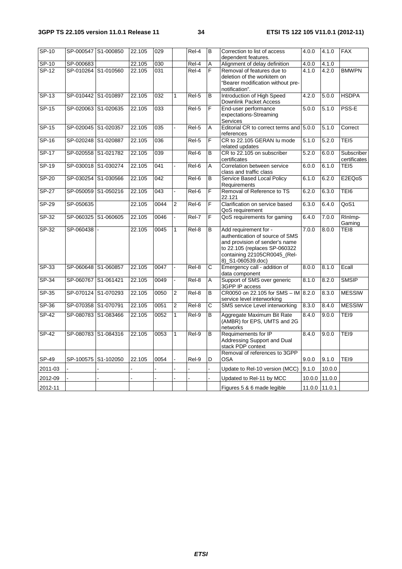| $SP-10$      |                     | SP-000547 S1-000850 | 22.105 | 029  |                | Rel-4 | B                  | Correction to list of access<br>dependent features.                                                                                                                              | 4.0.0 | 4.1.0         | <b>FAX</b>                 |
|--------------|---------------------|---------------------|--------|------|----------------|-------|--------------------|----------------------------------------------------------------------------------------------------------------------------------------------------------------------------------|-------|---------------|----------------------------|
| <b>SP-10</b> | SP-000683           |                     | 22.105 | 030  |                | Rel-4 | A                  | Alignment of delay definition                                                                                                                                                    | 4.0.0 | 4.1.0         |                            |
| $SP-12$      |                     | SP-010264 S1-010560 | 22.105 | 031  |                | Rel-4 | F                  | Removal of features due to<br>deletion of the workitem on<br>"Bearer modification without pre-<br>notification".                                                                 | 4.1.0 | 4.2.0         | <b>BMWPN</b>               |
| $SP-13$      | SP-010442 S1-010897 |                     | 22.105 | 032  | $\mathbf{1}$   | Rel-5 | B                  | Introduction of High Speed<br>Downlink Packet Access                                                                                                                             | 4.2.0 | 5.0.0         | <b>HSDPA</b>               |
| $SP-15$      |                     | SP-020063 S1-020635 | 22.105 | 033  |                | Rel-5 | F                  | End-user performance<br>expectations-Streaming<br>Services                                                                                                                       | 5.0.0 | 5.1.0         | PSS-E                      |
| $SP-15$      | SP-020045 S1-020357 |                     | 22.105 | 035  |                | Rel-5 | A                  | Editorial CR to correct terms and 5.0.0<br>references                                                                                                                            |       | 5.1.0         | Correct                    |
| SP-16        | SP-020248 S1-020887 |                     | 22.105 | 036  |                | Rel-5 | F                  | CR to 22.105 GERAN Iu mode<br>related updates                                                                                                                                    | 5.1.0 | 5.2.0         | TEI <sub>5</sub>           |
| $SP-17$      |                     | SP-020558 S1-021782 | 22.105 | 039  |                | Rel-6 | B                  | CR to 22.105 on subscriber<br>certificates                                                                                                                                       | 5.2.0 | 6.0.0         | Subscriber<br>certificates |
| $SP-19$      |                     | SP-030018 S1-030274 | 22.105 | 041  |                | Rel-6 | A                  | Correlation between service<br>class and traffic class                                                                                                                           | 6.0.0 | 6.1.0         | TEI <sub>5</sub>           |
| SP-20        |                     | SP-030254 S1-030566 | 22.105 | 042  |                | Rel-6 | B                  | <b>Service Based Local Policy</b><br>Requirements                                                                                                                                | 6.1.0 | 6.2.0         | E2EQoS                     |
| $SP-27$      |                     | SP-050059 S1-050216 | 22.105 | 043  |                | Rel-6 | F                  | Removal of Reference to TS<br>22.121                                                                                                                                             | 6.2.0 | 6.3.0         | TEI6                       |
| <b>SP-29</b> | SP-050635           |                     | 22.105 | 0044 | 2              | Rel-6 | F                  | Clarification on service based<br>QoS requirement                                                                                                                                | 6.3.0 | 6.4.0         | QoS1                       |
| $SP-32$      |                     | SP-060325 S1-060605 | 22.105 | 0046 |                | Rel-7 | $\overline{F}$     | QoS requirements for gaming                                                                                                                                                      | 6.4.0 | 7.0.0         | RInImp-<br>Gaming          |
| SP-32        | SP-060438           |                     | 22.105 | 0045 | $\mathbf{1}$   | Rel-8 | B                  | Add requirement for -<br>authentication of source of SMS<br>and provision of sender's name<br>to 22.105 (replaces SP-060322<br>containing 22105CR0045_(Rel-<br>8) S1-060539.doc) | 7.0.0 | 8.0.0         | TEI8                       |
| $SP-33$      | SP-060648 S1-060857 |                     | 22.105 | 0047 |                | Rel-8 | $\overline{\rm c}$ | Emergency call - addition of<br>data component                                                                                                                                   | 8.0.0 | 8.1.0         | Ecall                      |
| $SP-34$      | SP-060767 S1-061421 |                     | 22.105 | 0049 |                | Rel-8 | A                  | Support of SMS over generic<br>3GPP IP access                                                                                                                                    | 8.1.0 | 8.2.0         | <b>SMSIP</b>               |
| SP-35        |                     | SP-070124 S1-070293 | 22.105 | 0050 | 2              | Rel-8 | B                  | CR0050 on 22.105 for SMS - IM 8.2.0<br>service level interworking                                                                                                                |       | 8.3.0         | <b>MESSIW</b>              |
| SP-36        | SP-070358 S1-070791 |                     | 22.105 | 0051 | $\overline{2}$ | Rel-8 | C                  | SMS service Level interworking                                                                                                                                                   | 8.3.0 | 8.4.0         | <b>MESSIW</b>              |
| $SP-42$      | SP-080783           | S1-083466           | 22.105 | 0052 | $\mathbf{1}$   | Rel-9 | B                  | Aggregate Maximum Bit Rate<br>(AMBR) for EPS, UMTS and 2G<br>networks                                                                                                            | 8.4.0 | 9.0.0         | TEI9                       |
| <b>SP-42</b> |                     | SP-080783 S1-084316 | 22.105 | 0053 | $\mathbf{1}$   | Rel-9 | B                  | Requimements for IP<br>Addressing Support and Dual<br>stack PDP context                                                                                                          | 8.4.0 | 9.0.0         | TEI9                       |
| SP-49        |                     | SP-100575 S1-102050 | 22.105 | 0054 |                | Rel-9 | D                  | Removal of references to 3GPP<br>OSA                                                                                                                                             | 9.0.0 | 9.1.0         | TEI9                       |
| 2011-03      |                     |                     |        |      |                |       |                    | Update to Rel-10 version (MCC)                                                                                                                                                   | 9.1.0 | 10.0.0        |                            |
| 2012-09      |                     |                     |        |      |                |       |                    | Updated to Rel-11 by MCC                                                                                                                                                         |       | 10.0.0 11.0.0 |                            |
| 2012-11      |                     |                     |        |      |                |       |                    | Figures 5 & 6 made legible                                                                                                                                                       |       | 11.0.0 11.0.1 |                            |